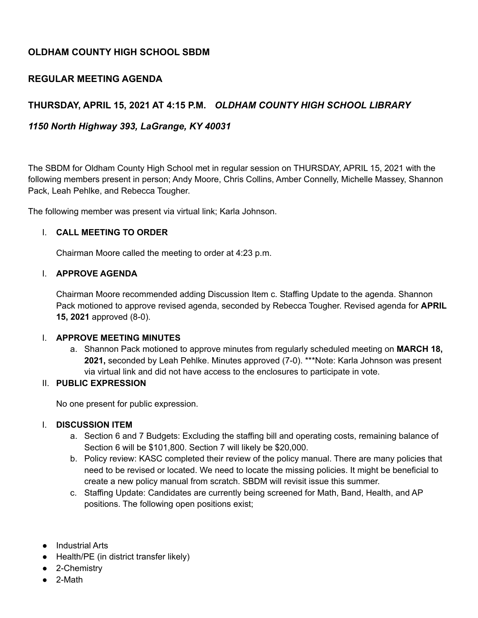# **OLDHAM COUNTY HIGH SCHOOL SBDM**

## **REGULAR MEETING AGENDA**

## **THURSDAY, APRIL 15, 2021 AT 4:15 P.M.** *OLDHAM COUNTY HIGH SCHOOL LIBRARY*

## *1150 North Highway 393, LaGrange, KY 40031*

The SBDM for Oldham County High School met in regular session on THURSDAY, APRIL 15, 2021 with the following members present in person; Andy Moore, Chris Collins, Amber Connelly, Michelle Massey, Shannon Pack, Leah Pehlke, and Rebecca Tougher.

The following member was present via virtual link; Karla Johnson.

### I. **CALL MEETING TO ORDER**

Chairman Moore called the meeting to order at 4:23 p.m.

#### I. **APPROVE AGENDA**

Chairman Moore recommended adding Discussion Item c. Staffing Update to the agenda. Shannon Pack motioned to approve revised agenda, seconded by Rebecca Tougher. Revised agenda for **APRIL 15, 2021** approved (8-0).

#### I. **APPROVE MEETING MINUTES**

a. Shannon Pack motioned to approve minutes from regularly scheduled meeting on **MARCH 18,** 2021, seconded by Leah Pehlke. Minutes approved (7-0). \*\*\*Note: Karla Johnson was present via virtual link and did not have access to the enclosures to participate in vote.

### II. **PUBLIC EXPRESSION**

No one present for public expression.

### I. **DISCUSSION ITEM**

- a. Section 6 and 7 Budgets: Excluding the staffing bill and operating costs, remaining balance of Section 6 will be \$101,800. Section 7 will likely be \$20,000.
- b. Policy review: KASC completed their review of the policy manual. There are many policies that need to be revised or located. We need to locate the missing policies. It might be beneficial to create a new policy manual from scratch. SBDM will revisit issue this summer.
- c. Staffing Update: Candidates are currently being screened for Math, Band, Health, and AP positions. The following open positions exist;
- Industrial Arts
- Health/PE (in district transfer likely)
- 2-Chemistry
- 2-Math